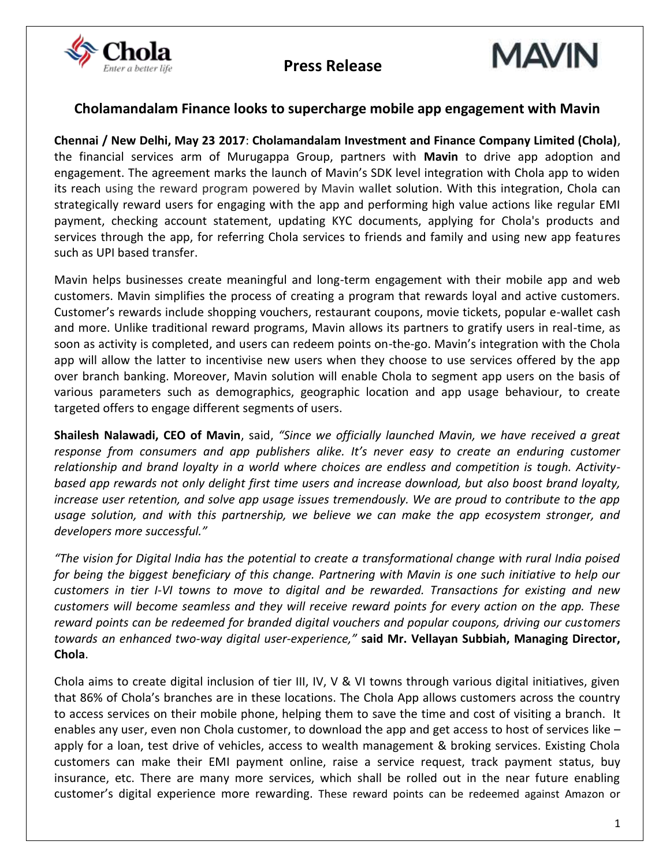





### **Cholamandalam Finance looks to supercharge mobile app engagement with Mavin**

**Chennai / New Delhi, May 23 2017**: **Cholamandalam Investment and Finance Company Limited (Chola)**, the financial services arm of Murugappa Group, partners with **Mavin** to drive app adoption and engagement. The agreement marks the launch of Mavin's SDK level integration with Chola app to widen its reach using the reward program powered by Mavin wallet solution. With this integration, Chola can strategically reward users for engaging with the app and performing high value actions like regular EMI payment, checking account statement, updating KYC documents, applying for Chola's products and services through the app, for referring Chola services to friends and family and using new app features such as UPI based transfer.

Mavin helps businesses create meaningful and long-term engagement with their mobile app and web customers. Mavin simplifies the process of creating a program that rewards loyal and active customers. Customer's rewards include shopping vouchers, restaurant coupons, movie tickets, popular e-wallet cash and more. Unlike traditional reward programs, Mavin allows its partners to gratify users in real-time, as soon as activity is completed, and users can redeem points on-the-go. Mavin's integration with the Chola app will allow the latter to incentivise new users when they choose to use services offered by the app over branch banking. Moreover, Mavin solution will enable Chola to segment app users on the basis of various parameters such as demographics, geographic location and app usage behaviour, to create targeted offers to engage different segments of users.

**Shailesh Nalawadi, CEO of Mavin**, said, *"Since we officially launched Mavin, we have received a great response from consumers and app publishers alike. It's never easy to create an enduring customer relationship and brand loyalty in a world where choices are endless and competition is tough. Activitybased app rewards not only delight first time users and increase download, but also boost brand loyalty, increase user retention, and solve app usage issues tremendously. We are proud to contribute to the app usage solution, and with this partnership, we believe we can make the app ecosystem stronger, and developers more successful."*

*"The vision for Digital India has the potential to create a transformational change with rural India poised for being the biggest beneficiary of this change. Partnering with Mavin is one such initiative to help our customers in tier I-VI towns to move to digital and be rewarded. Transactions for existing and new customers will become seamless and they will receive reward points for every action on the app. These reward points can be redeemed for branded digital vouchers and popular coupons, driving our customers towards an enhanced two-way digital user-experience,"* **said Mr. Vellayan Subbiah, Managing Director, Chola**.

Chola aims to create digital inclusion of tier III, IV, V & VI towns through various digital initiatives, given that 86% of Chola's branches are in these locations. The Chola App allows customers across the country to access services on their mobile phone, helping them to save the time and cost of visiting a branch. It enables any user, even non Chola customer, to download the app and get access to host of services like – apply for a loan, test drive of vehicles, access to wealth management & broking services. Existing Chola customers can make their EMI payment online, raise a service request, track payment status, buy insurance, etc. There are many more services, which shall be rolled out in the near future enabling customer's digital experience more rewarding. These reward points can be redeemed against Amazon or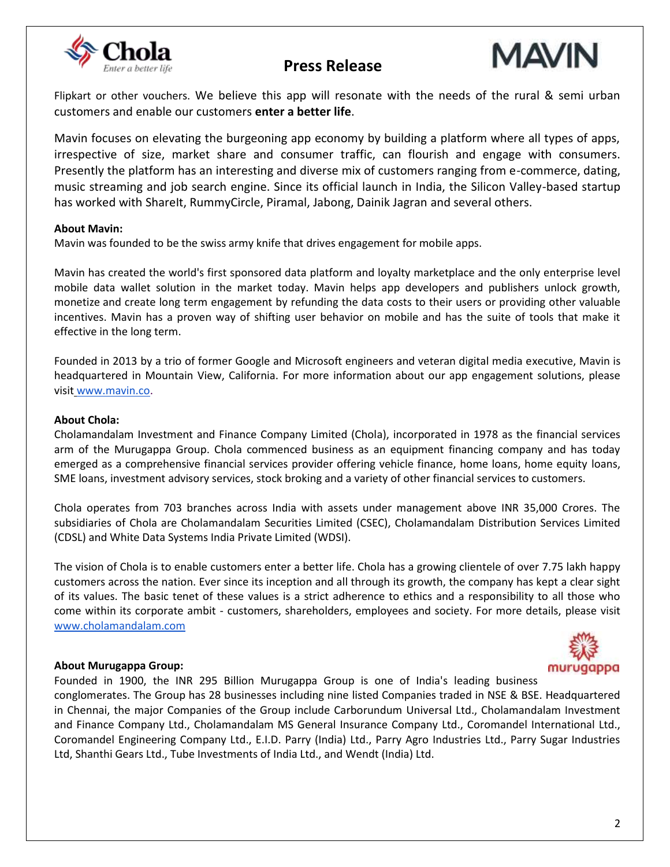

# **Press Release**



Flipkart or other vouchers. We believe this app will resonate with the needs of the rural & semi urban customers and enable our customers **enter a better life**.

Mavin focuses on elevating the burgeoning app economy by building a platform where all types of apps, irrespective of size, market share and consumer traffic, can flourish and engage with consumers. Presently the platform has an interesting and diverse mix of customers ranging from e-commerce, dating, music streaming and job search engine. Since its official launch in India, the Silicon Valley-based startup has worked with ShareIt, RummyCircle, Piramal, Jabong, Dainik Jagran and several others.

### **About Mavin:**

Mavin was founded to be the swiss army knife that drives engagement for mobile apps.

Mavin has created the world's first sponsored data platform and loyalty marketplace and the only enterprise level mobile data wallet solution in the market today. Mavin helps app developers and publishers unlock growth, monetize and create long term engagement by refunding the data costs to their users or providing other valuable incentives. Mavin has a proven way of shifting user behavior on mobile and has the suite of tools that make it effective in the long term.

Founded in 2013 by a trio of former Google and Microsoft engineers and veteran digital media executive, Mavin is headquartered in Mountain View, California. For more information about our app engagement solutions, please visit [www.mavin.co.](http://www.mavin.co/)

#### **About Chola:**

Cholamandalam Investment and Finance Company Limited (Chola), incorporated in 1978 as the financial services arm of the Murugappa Group. Chola commenced business as an equipment financing company and has today emerged as a comprehensive financial services provider offering vehicle finance, home loans, home equity loans, SME loans, investment advisory services, stock broking and a variety of other financial services to customers.

Chola operates from 703 branches across India with assets under management above INR 35,000 Crores. The subsidiaries of Chola are Cholamandalam Securities Limited (CSEC), Cholamandalam Distribution Services Limited (CDSL) and White Data Systems India Private Limited (WDSI).

The vision of Chola is to enable customers enter a better life. Chola has a growing clientele of over 7.75 lakh happy customers across the nation. Ever since its inception and all through its growth, the company has kept a clear sight of its values. The basic tenet of these values is a strict adherence to ethics and a responsibility to all those who come within its corporate ambit - customers, shareholders, employees and society. For more details, please visi[t](http://www.cholamandalam.com/) [www.cholamandalam.com](http://www.cholamandalam.com/)

#### **About Murugappa Group:**



Founded in 1900, the INR 295 Billion Murugappa Group is one of India's leading business conglomerates. The Group has 28 businesses including nine listed Companies traded in NSE & BSE. Headquartered in Chennai, the major Companies of the Group include Carborundum Universal Ltd., Cholamandalam Investment and Finance Company Ltd., Cholamandalam MS General Insurance Company Ltd., Coromandel International Ltd., Coromandel Engineering Company Ltd., E.I.D. Parry (India) Ltd., Parry Agro Industries Ltd., Parry Sugar Industries Ltd, Shanthi Gears Ltd., Tube Investments of India Ltd., and Wendt (India) Ltd.